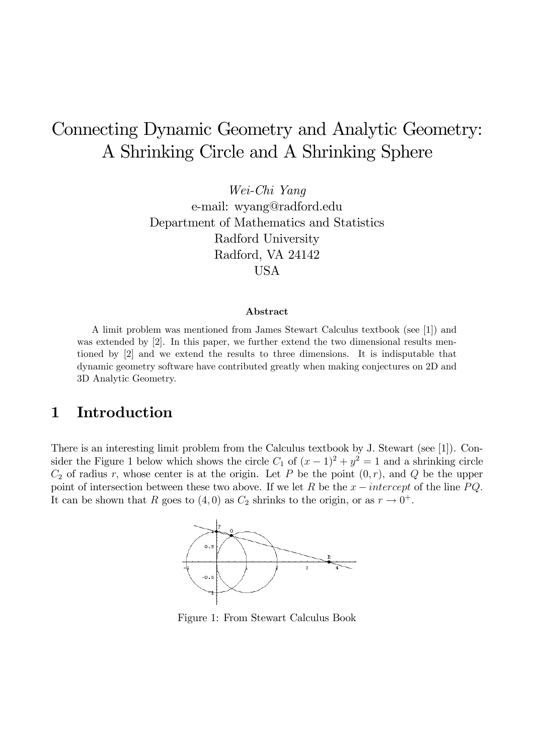# Connecting Dynamic Geometry and Analytic Geometry: A Shrinking Circle and A Shrinking Sphere

Wei-Chi Yang e-mail: wyang@radford.edu Department of Mathematics and Statistics Radford University Radford, VA 24142 USA

#### Abstract

A limit problem was mentioned from James Stewart Calculus textbook (see [1]) and was extended by [2]. In this paper, we further extend the two dimensional results mentioned by [2] and we extend the results to three dimensions. It is indisputable that dynamic geometry software have contributed greatly when making conjectures on 2D and 3D Analytic Geometry.

# 1 Introduction

There is an interesting limit problem from the Calculus textbook by J. Stewart (see [1]). Consider the Figure 1 below which shows the circle  $C_1$  of  $(x-1)^2 + y^2 = 1$  and a shrinking circle  $C_2$  of radius r, whose center is at the origin. Let P be the point  $(0, r)$ , and Q be the upper point of intersection between these two above. If we let R be the  $x-intercept$  of the line PQ. It can be shown that R goes to  $(4,0)$  as  $C_2$  shrinks to the origin, or as  $r \to 0^+$ .



Figure 1: From Stewart Calculus Book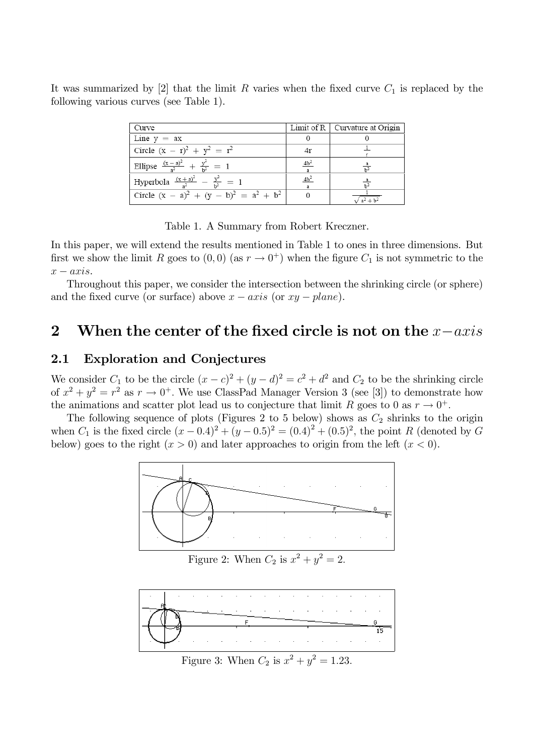It was summarized by [2] that the limit R varies when the fixed curve  $C_1$  is replaced by the following various curves (see Table 1).

| Curve                                               |                 | Limit of $R$   Curvature at Origin |
|-----------------------------------------------------|-----------------|------------------------------------|
| Line $y = ax$                                       |                 |                                    |
| Circle $(x - r)^2 + y^2 = r^2$                      |                 |                                    |
| Ellipse $\frac{(x-a)^2}{a^2} + \frac{y^2}{b^2} = 1$ | 4b <sup>2</sup> |                                    |
| Hyperbola $\frac{(x+a)^2}{2} - \frac{y^2}{12} = 1$  | $4b^2$          |                                    |
| Circle $(x - a)^2 + (y - b)^2 = a^2 + b^2$          |                 |                                    |

Table 1. A Summary from Robert Kreczner.

In this paper, we will extend the results mentioned in Table 1 to ones in three dimensions. But first we show the limit R goes to  $(0,0)$  (as  $r \to 0^+$ ) when the figure  $C_1$  is not symmetric to the  $x-axis$ .

Throughout this paper, we consider the intersection between the shrinking circle (or sphere) and the fixed curve (or surface) above  $x - axis$  (or  $xy - plane$ ).

# 2 When the center of the fixed circle is not on the  $x-axis$

## 2.1 Exploration and Conjectures

We consider  $C_1$  to be the circle  $(x-c)^2 + (y-d)^2 = c^2 + d^2$  and  $C_2$  to be the shrinking circle of  $x^2 + y^2 = r^2$  as  $r \to 0^+$ . We use ClassPad Manager Version 3 (see [3]) to demonstrate how the animations and scatter plot lead us to conjecture that limit R goes to 0 as  $r \to 0^+$ .

The following sequence of plots (Figures 2 to 5 below) shows as  $C_2$  shrinks to the origin when  $C_1$  is the fixed circle  $(x - 0.4)^2 + (y - 0.5)^2 = (0.4)^2 + (0.5)^2$ , the point R (denoted by G below) goes to the right  $(x > 0)$  and later approaches to origin from the left  $(x < 0)$ .



Figure 2: When  $C_2$  is  $x^2 + y^2 = 2$ .



Figure 3: When  $C_2$  is  $x^2 + y^2 = 1.23$ .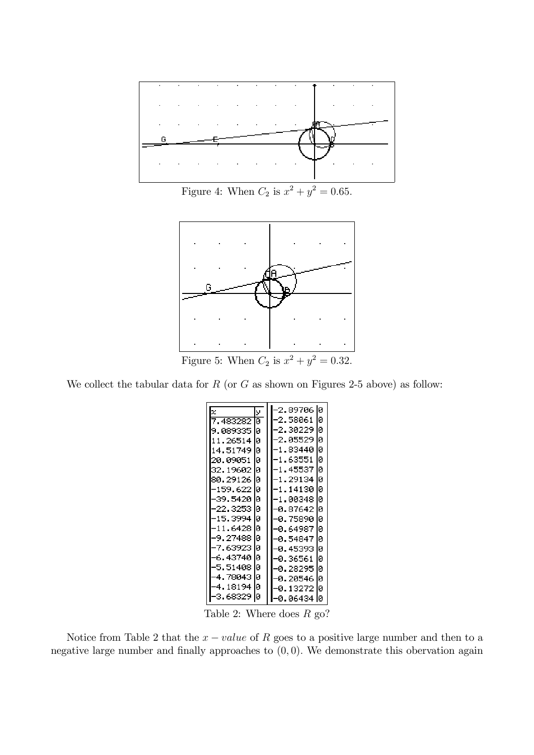

Figure 4: When  $C_2$  is  $x^2 + y^2 = 0.65$ .



Figure 5: When  $C_2$  is  $x^2 + y^2 = 0.32$ .

We collect the tabular data for  $R$  (or  $G$  as shown on Figures 2-5 above) as follow:

| X            | У  | 10<br>-2.89706    |
|--------------|----|-------------------|
| . 483282     | й  | ø<br>-2.58061     |
| .089335<br>9 | lо | Й<br>2.30229      |
| 11.26514     | Ø  | ø<br>2.05529      |
| 14.51749     | lø | ø<br>1.83440      |
| 20.09051     | ø  | ø<br>-1.63551     |
| 32.19602     | lø | ø<br>-1.45537     |
| 80.29126     | lй | Ø<br>-1.29134     |
|              |    |                   |
| -159.622     | ıо | Ø<br>–1.14130     |
| -39.5420     | Iй | ø<br>1.00348      |
| -22.3253     | lй | ø<br>-0.87642     |
| 15.3994      | IЙ | Й<br>75890<br>-и. |
| -11.6428     | lй | ø<br>-0.64987     |
| -9.27488     | lо | Й<br>-0.54847     |
| -7.63923     | Ø  | Ιø<br>-0.45393    |
| -6.43740     | lй | Ø<br>-0.36561     |
| 5.51408      | lо | ø<br>-0.28295     |
| 78043        | lо | ø<br>-0.20546     |
| 18194        | lø | ø<br>13272        |
| -3.68329     | IО | lй<br>-0.06434    |

Table 2: Where does  $R$  go?

Notice from Table 2 that the  $x-value$  of R goes to a positive large number and then to a negative large number and finally approaches to  $(0, 0)$ . We demonstrate this obervation again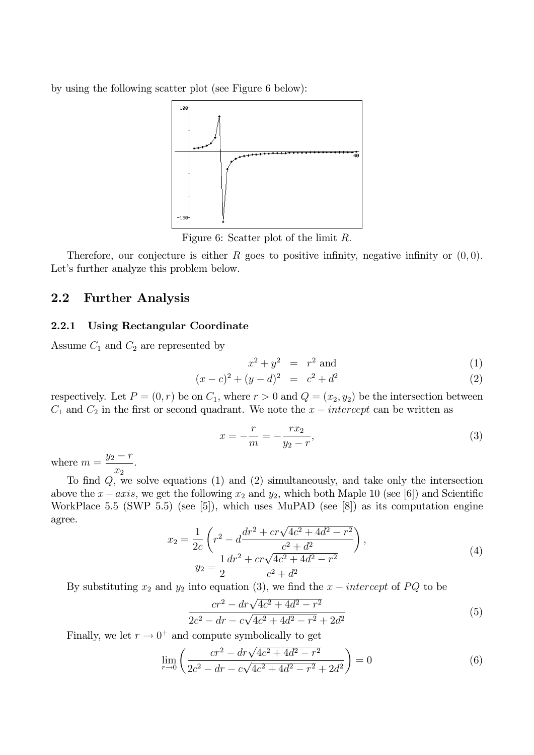by using the following scatter plot (see Figure 6 below):



Figure 6: Scatter plot of the limit R:

Therefore, our conjecture is either R goes to positive infinity, negative infinity or  $(0, 0)$ . Let's further analyze this problem below.

#### 2.2 Further Analysis

#### 2.2.1 Using Rectangular Coordinate

Assume  $C_1$  and  $C_2$  are represented by

$$
x^2 + y^2 = r^2
$$
 and (1)

$$
(x-c)^2 + (y-d)^2 = c^2 + d^2 \tag{2}
$$

respectively. Let  $P = (0, r)$  be on  $C_1$ , where  $r > 0$  and  $Q = (x_2, y_2)$  be the intersection between  $C_1$  and  $C_2$  in the first or second quadrant. We note the  $x - intercept$  can be written as

$$
x = -\frac{r}{m} = -\frac{rx_2}{y_2 - r},
$$
\n(3)

where  $m = \frac{y_2 - r}{r}$  $\overline{x_2}$ :

To find  $Q$ , we solve equations (1) and (2) simultaneously, and take only the intersection above the  $x-axis$ , we get the following  $x_2$  and  $y_2$ , which both Maple 10 (see [6]) and Scientific WorkPlace 5.5 (SWP 5.5) (see [5]), which uses MuPAD (see [8]) as its computation engine agree.

$$
x_2 = \frac{1}{2c} \left( r^2 - d \frac{dr^2 + cr\sqrt{4c^2 + 4d^2 - r^2}}{c^2 + d^2} \right),
$$
  
\n
$$
y_2 = \frac{1}{2} \frac{dr^2 + cr\sqrt{4c^2 + 4d^2 - r^2}}{c^2 + d^2}
$$
\n(4)

By substituting  $x_2$  and  $y_2$  into equation (3), we find the  $x-intercept$  of PQ to be

$$
\frac{cr^2 - dr\sqrt{4c^2 + 4d^2 - r^2}}{2c^2 - dr - c\sqrt{4c^2 + 4d^2 - r^2} + 2d^2}
$$
\n(5)

Finally, we let  $r \to 0^+$  and compute symbolically to get

$$
\lim_{r \to 0} \left( \frac{cr^2 - dr\sqrt{4c^2 + 4d^2 - r^2}}{2c^2 - dr - c\sqrt{4c^2 + 4d^2 - r^2} + 2d^2} \right) = 0
$$
\n(6)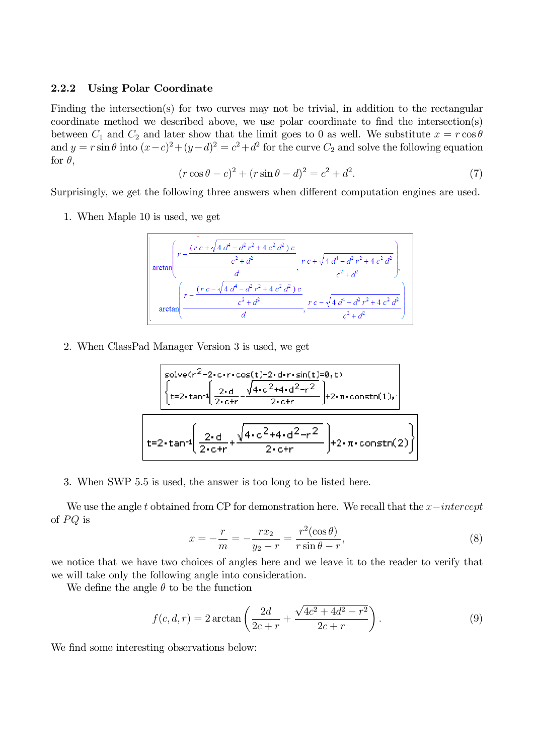#### 2.2.2 Using Polar Coordinate

Finding the intersection(s) for two curves may not be trivial, in addition to the rectangular coordinate method we described above, we use polar coordinate to find the intersection(s) between  $C_1$  and  $C_2$  and later show that the limit goes to 0 as well. We substitute  $x = r \cos \theta$ and  $y = r \sin \theta$  into  $(x-c)^2 + (y-d)^2 = c^2 + d^2$  for the curve  $C_2$  and solve the following equation for  $\theta$ ,

$$
(r\cos\theta - c)^2 + (r\sin\theta - d)^2 = c^2 + d^2.
$$
 (7)

Surprisingly, we get the following three answers when different computation engines are used.

1. When Maple 10 is used, we get

$$
\arctan\left(\frac{r - \frac{(r c + \sqrt{4 d^4 - d^2 r^2 + 4 c^2 d^2}) c}{c^2 + d^2}}{\frac{d}{d}}\right), \frac{r c + \sqrt{4 d^4 - d^2 r^2 + 4 c^2 d^2}}{c^2 + d^2}\right)
$$
\n
$$
\arctan\left(\frac{r - \frac{(r c - \sqrt{4 d^4 - d^2 r^2 + 4 c^2 d^2}) c}{c^2 + d^2}}{\frac{c^2 + d^2}{d}}\right), \frac{r c - \sqrt{4 d^4 - d^2 r^2 + 4 c^2 d^2}}{c^2 + d^2}\right)
$$

2. When ClassPad Manager Version 3 is used, we get

solve(r<sup>2</sup>-2-c-r
$$
\cdot
$$
cos(t)-2-d-r $\cdot$ sin(t)=0,t)  
\n
$$
\left\{\n\frac{2 \cdot d}{t=2 \cdot \tan^{-1}\left(\n\frac{2 \cdot d}{2 \cdot \cot r\n}\n\right.\n\left.\n\left.\n\frac{\sqrt{4 \cdot c^{2}+4 \cdot d^{2}-r^{2}}}{2 \cdot \cot r\n}\n\right.\n\right.\n+2 \cdot \pi \cdot \text{constn}(1)\n\right\}
$$
\n
$$
t=2 \cdot \tan^{-1}\left(\n\frac{2 \cdot d}{2 \cdot \cot r\n}\n+\n\frac{\sqrt{4 \cdot c^{2}+4 \cdot d^{2}-r^{2}}}{2 \cdot \cot r}\n\right)\n+2 \cdot \pi \cdot \text{constn}(2)\n\right\}
$$

3. When SWP 5.5 is used, the answer is too long to be listed here.

We use the angle t obtained from CP for demonstration here. We recall that the  $x-intercept$ of  $PQ$  is

$$
x = -\frac{r}{m} = -\frac{rx_2}{y_2 - r} = \frac{r^2(\cos \theta)}{r \sin \theta - r},
$$
\n(8)

we notice that we have two choices of angles here and we leave it to the reader to verify that we will take only the following angle into consideration.

We define the angle  $\theta$  to be the function

$$
f(c, d, r) = 2 \arctan\left(\frac{2d}{2c + r} + \frac{\sqrt{4c^2 + 4d^2 - r^2}}{2c + r}\right).
$$
 (9)

We find some interesting observations below: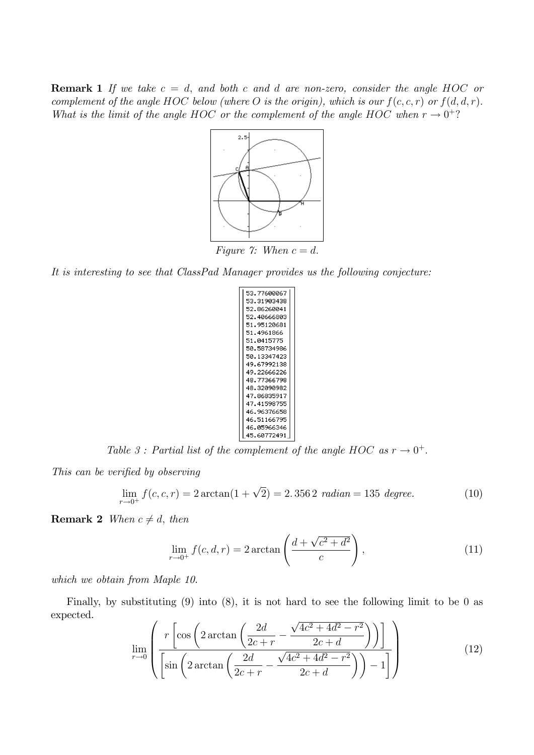**Remark 1** If we take  $c = d$ , and both c and d are non-zero, consider the angle HOC or complement of the angle HOC below (where O is the origin), which is our  $f(c, c, r)$  or  $f(d, d, r)$ . What is the limit of the angle HOC or the complement of the angle HOC when  $r \to 0^+$ ?



It is interesting to see that ClassPad Manager provides us the following conjecture:

| 53.77600067 |  |
|-------------|--|
| 53.31903438 |  |
| 52.86260041 |  |
| 52.40666803 |  |
| 51.95120681 |  |
| 51.4961866  |  |
| 51.0415775  |  |
| 50.58734986 |  |
| 50.13347423 |  |
| 49.67992138 |  |
| 49.22666226 |  |
| 48.77366798 |  |
| 48.32090982 |  |
| 47.86835917 |  |
| 47.41598755 |  |
| 46.96376658 |  |
| 46.51166795 |  |
| 46.05966346 |  |
| 45.60772491 |  |
|             |  |

Table 3: Partial list of the complement of the angle HOC as  $r \to 0^+$ .

This can be verified by observing

$$
\lim_{r \to 0^+} f(c, c, r) = 2 \arctan(1 + \sqrt{2}) = 2.3562 \text{ radian} = 135 \text{ degree.}
$$
 (10)

**Remark 2** When  $c \neq d$ , then

$$
\lim_{r \to 0^+} f(c, d, r) = 2 \arctan\left(\frac{d + \sqrt{c^2 + d^2}}{c}\right),\tag{11}
$$

which we obtain from Maple 10.

Finally, by substituting (9) into (8), it is not hard to see the following limit to be 0 as expected.

$$
\lim_{r \to 0} \left( \frac{r \left[ \cos \left( 2 \arctan \left( \frac{2d}{2c+r} - \frac{\sqrt{4c^2 + 4d^2 - r^2}}{2c + d} \right) \right) \right]}{\left[ \sin \left( 2 \arctan \left( \frac{2d}{2c+r} - \frac{\sqrt{4c^2 + 4d^2 - r^2}}{2c + d} \right) \right) - 1 \right]} \right)
$$
(12)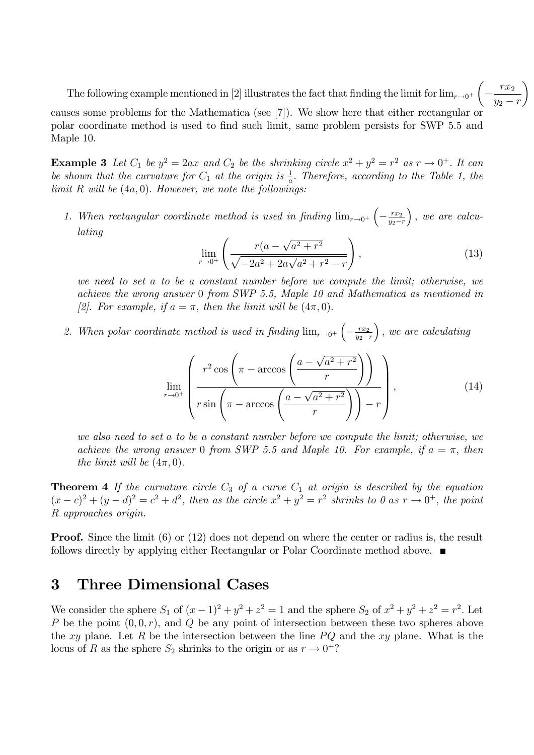The following example mentioned in [2] illustrates the fact that finding the limit for  $\lim_{r\to 0^+}$ 

causes some problems for the Mathematica (see [7]). We show here that either rectangular or polar coordinate method is used to Önd such limit, same problem persists for SWP 5.5 and Maple 10.

**Example 3** Let  $C_1$  be  $y^2 = 2ax$  and  $C_2$  be the shrinking circle  $x^2 + y^2 = r^2$  as  $r \to 0^+$ . It can be shown that the curvature for  $C_1$  at the origin is  $\frac{1}{a}$ . Therefore, according to the Table 1, the limit  $R$  will be  $(4a, 0)$ . However, we note the followings:

1. When rectangular coordinate method is used in finding  $\lim_{r\to 0^+}$  $-\frac{rx_2}{y_2-}$  $y_2-r$  $\big)$ , we are calculating

$$
\lim_{r \to 0^+} \left( \frac{r(a - \sqrt{a^2 + r^2})}{\sqrt{-2a^2 + 2a\sqrt{a^2 + r^2} - r}} \right),\tag{13}
$$

we need to set a to be a constant number before we compute the limit; otherwise, we achieve the wrong answer 0 from SWP 5.5, Maple 10 and Mathematica as mentioned in [2]. For example, if  $a = \pi$ , then the limit will be  $(4\pi, 0)$ .

2. When polar coordinate method is used in finding  $\lim_{r\to 0^+}$  $-\frac{rx_2}{y_2-}$  $y_2-r$  $\big)$ , we are calculating

$$
\lim_{r \to 0^{+}} \left( \frac{r^2 \cos \left( \pi - \arccos \left( \frac{a - \sqrt{a^2 + r^2}}{r} \right) \right)}{r \sin \left( \pi - \arccos \left( \frac{a - \sqrt{a^2 + r^2}}{r} \right) \right) - r} \right), \tag{14}
$$

we also need to set a to be a constant number before we compute the limit; otherwise, we achieve the wrong answer 0 from SWP 5.5 and Maple 10. For example, if  $a = \pi$ , then the limit will be  $(4\pi, 0)$ .

**Theorem 4** If the curvature circle  $C_3$  of a curve  $C_1$  at origin is described by the equation  $(x-c)^2 + (y-d)^2 = c^2 + d^2$ , then as the circle  $x^2 + y^2 = r^2$  shrinks to 0 as  $r \to 0^+$ , the point R approaches origin.

**Proof.** Since the limit (6) or (12) does not depend on where the center or radius is, the result follows directly by applying either Rectangular or Polar Coordinate method above.

## 3 Three Dimensional Cases

We consider the sphere  $S_1$  of  $(x-1)^2 + y^2 + z^2 = 1$  and the sphere  $S_2$  of  $x^2 + y^2 + z^2 = r^2$ . Let P be the point  $(0, 0, r)$ , and Q be any point of intersection between these two spheres above the xy plane. Let R be the intersection between the line  $PQ$  and the xy plane. What is the locus of R as the sphere  $S_2$  shrinks to the origin or as  $r \to 0^+$ ?

Γ  $rx_2$  $y_2 - r$  $\lambda$ 

 $\sqrt{ }$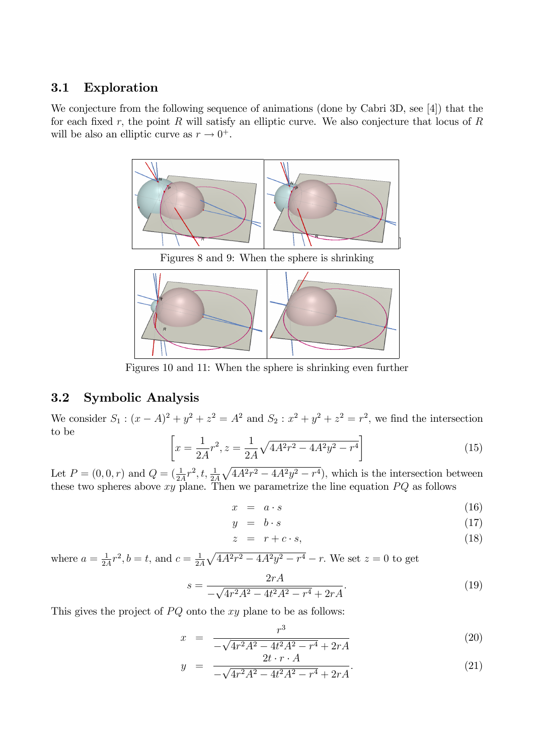### 3.1 Exploration

We conjecture from the following sequence of animations (done by Cabri 3D, see [4]) that the for each fixed r, the point R will satisfy an elliptic curve. We also conjecture that locus of R will be also an elliptic curve as  $r \to 0^+$ .



Figures 10 and 11: When the sphere is shrinking even further

## 3.2 Symbolic Analysis

We consider  $S_1$ :  $(x - A)^2 + y^2 + z^2 = A^2$  and  $S_2$ :  $x^2 + y^2 + z^2 = r^2$ , we find the intersection to be

$$
\left[x = \frac{1}{2A}r^2, z = \frac{1}{2A}\sqrt{4A^2r^2 - 4A^2y^2 - r^4}\right]
$$
\n(15)

Let  $P = (0, 0, r)$  and  $Q = (\frac{1}{2A}r^2, t, \frac{1}{2A}\sqrt{4A^2r^2 - 4A^2y^2 - r^4})$ , which is the intersection between these two spheres above  $xy$  plane. Then we parametrize the line equation  $PQ$  as follows

$$
x = a \cdot s \tag{16}
$$

$$
y = b \cdot s \tag{17}
$$

$$
z = r + c \cdot s,\tag{18}
$$

where  $a=\frac{1}{2}$  $\frac{1}{2A}r^2, b = t$ , and  $c = \frac{1}{2A}$  $\frac{1}{2A}\sqrt{4A^2r^2 - 4A^2y^2 - r^4} - r$ . We set  $z = 0$  to get

$$
s = \frac{2rA}{-\sqrt{4r^2A^2 - 4t^2A^2 - r^4} + 2rA}.\tag{19}
$$

This gives the project of  $PQ$  onto the xy plane to be as follows:

$$
x = \frac{r^3}{-\sqrt{4r^2A^2 - 4t^2A^2 - r^4} + 2rA}
$$
 (20)

$$
y = \frac{2t \cdot r \cdot A}{-\sqrt{4r^2A^2 - 4t^2A^2 - r^4} + 2rA}.
$$
 (21)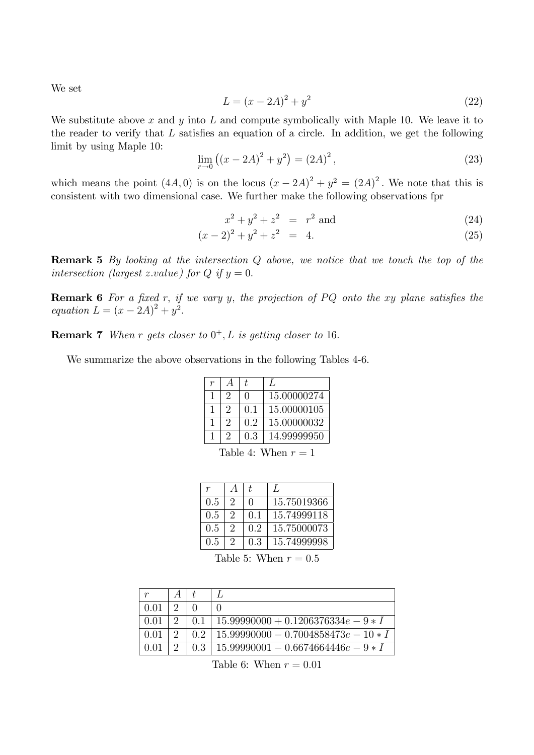We set

$$
L = (x - 2A)^2 + y^2
$$
 (22)

We substitute above x and y into L and compute symbolically with Maple 10. We leave it to the reader to verify that  $L$  satisfies an equation of a circle. In addition, we get the following limit by using Maple 10:

$$
\lim_{r \to 0} ((x - 2A)^2 + y^2) = (2A)^2,
$$
\n(23)

which means the point  $(4A, 0)$  is on the locus  $(x - 2A)^2 + y^2 = (2A)^2$ . We note that this is consistent with two dimensional case. We further make the following observations fpr

$$
x^2 + y^2 + z^2 = r^2 \text{ and } \tag{24}
$$

$$
(x-2)^2 + y^2 + z^2 = 4.
$$
 (25)

Remark 5 By looking at the intersection Q above, we notice that we touch the top of the intersection (largest z.value) for Q if  $y = 0$ .

**Remark 6** For a fixed r, if we vary y, the projection of  $PQ$  onto the xy plane satisfies the equation  $L = (x - 2A)^2 + y^2$ .

**Remark 7** When r gets closer to  $0^+, L$  is getting closer to 16.

We summarize the above observations in the following Tables 4-6.

| r |          | t.  |             |
|---|----------|-----|-------------|
|   | $\Omega$ | ∩   | 15.00000274 |
|   | 2        | 0.1 | 15.00000105 |
|   | 2        | 0.2 | 15.00000032 |
|   | 2        | 0.3 | 14.99999950 |

Table 4: When  $r = 1$ 

| r   | A        | t.           | $\mathcal{L}$ |
|-----|----------|--------------|---------------|
| 0.5 | $\Omega$ | $\mathbf{0}$ | 15.75019366   |
| 0.5 | 9        | 01           | 15.74999118   |
| 0.5 | 2        | 02           | 15.75000073   |
| 0.5 | 2        | 0.3          | 15.74999998   |

Table 5: When  $r = 0.5$ 

| 0.01 |   |     |                                        |
|------|---|-----|----------------------------------------|
| 0.01 | റ | 0.1 | $15.99990000 + 0.1206376334e - 9 * I$  |
| 0.01 | റ | 0.2 | $15.99990000 - 0.7004858473e - 10 * I$ |
| በ በ1 | റ | 0.3 | $15.99990001 - 0.6674664446e - 9 * I$  |

Table 6: When  $r = 0.01$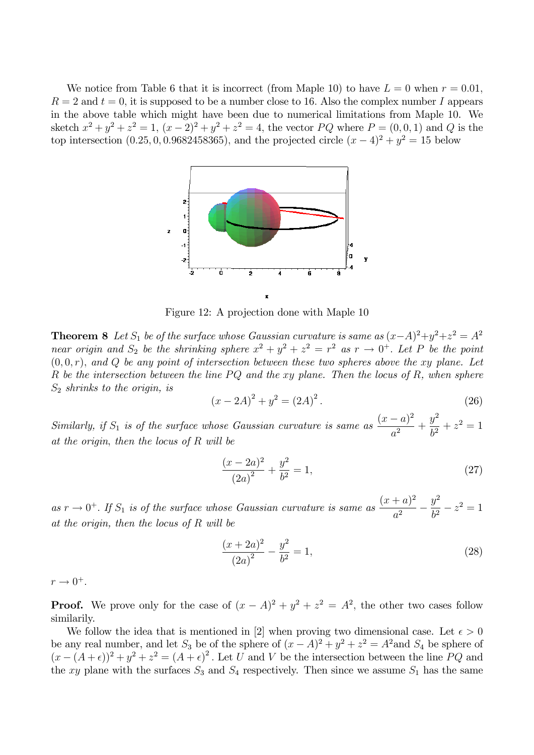We notice from Table 6 that it is incorrect (from Maple 10) to have  $L = 0$  when  $r = 0.01$ ,  $R = 2$  and  $t = 0$ , it is supposed to be a number close to 16. Also the complex number I appears in the above table which might have been due to numerical limitations from Maple 10. We sketch  $x^2 + y^2 + z^2 = 1$ ,  $(x - 2)^2 + y^2 + z^2 = 4$ , the vector *PQ* where  $P = (0, 0, 1)$  and *Q* is the top intersection  $(0.25, 0, 0.9682458365)$ , and the projected circle  $(x - 4)^2 + y^2 = 15$  below



Figure 12: A projection done with Maple 10

**Theorem 8** Let  $S_1$  be of the surface whose Gaussian curvature is same as  $(x-A)^2+y^2+z^2=A^2$ near origin and  $S_2$  be the shrinking sphere  $x^2 + y^2 + z^2 = r^2$  as  $r \to 0^+$ . Let P be the point  $(0,0,r)$ , and Q be any point of intersection between these two spheres above the xy plane. Let R be the intersection between the line  $PQ$  and the xy plane. Then the locus of R, when sphere  $S_2$  shrinks to the origin, is

$$
(x - 2A)^2 + y^2 = (2A)^2.
$$
 (26)

Similarly, if  $S_1$  is of the surface whose Gaussian curvature is same as  $\frac{(x-a)^2}{a^2}$  $\frac{a}{a^2}$  +  $y^2$  $\frac{g}{b^2} + z^2 = 1$ at the origin, then the locus of  $R$  will be

$$
\frac{(x-2a)^2}{(2a)^2} + \frac{y^2}{b^2} = 1,
$$
\n(27)

as  $r \to 0^+$ . If  $S_1$  is of the surface whose Gaussian curvature is same as  $\frac{(x+a)^2}{a^2}$  $\overline{a^2}$  –  $y^2$  $\frac{9}{b^2} - z^2 = 1$ at the origin, then the locus of R will be

$$
\frac{(x+2a)^2}{(2a)^2} - \frac{y^2}{b^2} = 1,
$$
\n(28)

 $r \rightarrow 0^+$ .

**Proof.** We prove only for the case of  $(x - A)^2 + y^2 + z^2 = A^2$ , the other two cases follow similarily.

We follow the idea that is mentioned in [2] when proving two dimensional case. Let  $\epsilon > 0$ be any real number, and let  $S_3$  be of the sphere of  $(x - A)^2 + y^2 + z^2 = A^2$  and  $S_4$  be sphere of  $(x - (A + \epsilon))^2 + y^2 + z^2 = (A + \epsilon)^2$ . Let U and V be the intersection between the line PQ and the xy plane with the surfaces  $S_3$  and  $S_4$  respectively. Then since we assume  $S_1$  has the same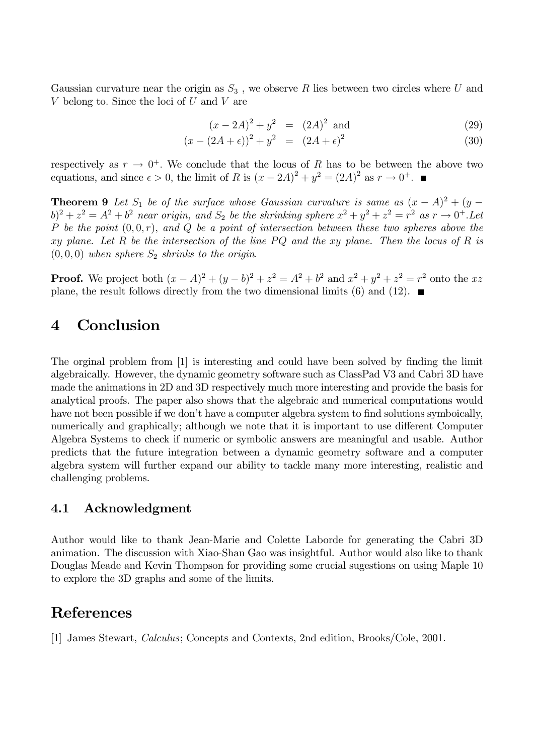Gaussian curvature near the origin as  $S_3$ , we observe R lies between two circles where U and V belong to. Since the loci of  $U$  and  $V$  are

$$
(x - 2A)^2 + y^2 = (2A)^2 \text{ and } \tag{29}
$$

$$
(x - (2A + \epsilon))^2 + y^2 = (2A + \epsilon)^2 \tag{30}
$$

respectively as  $r \to 0^+$ . We conclude that the locus of R has to be between the above two equations, and since  $\epsilon > 0$ , the limit of R is  $(x - 2A)^2 + y^2 = (2A)^2$  as  $r \to 0^+$ .

**Theorem 9** Let  $S_1$  be of the surface whose Gaussian curvature is same as  $(x - A)^2 + (y - A)^2 = (y - A)^2 + (y - A)^2$  $(b)^2 + z^2 = A^2 + b^2$  near origin, and  $S_2$  be the shrinking sphere  $x^2 + y^2 + z^2 = r^2$  as  $r \to 0^+$ . Let P be the point  $(0,0,r)$ , and Q be a point of intersection between these two spheres above the xy plane. Let R be the intersection of the line  $PQ$  and the xy plane. Then the locus of R is  $(0,0,0)$  when sphere  $S_2$  shrinks to the origin.

**Proof.** We project both  $(x - A)^2 + (y - b)^2 + z^2 = A^2 + b^2$  and  $x^2 + y^2 + z^2 = r^2$  onto the xz plane, the result follows directly from the two dimensional limits (6) and (12).  $\blacksquare$ 

# 4 Conclusion

The orginal problem from [1] is interesting and could have been solved by finding the limit algebraically. However, the dynamic geometry software such as ClassPad V3 and Cabri 3D have made the animations in 2D and 3D respectively much more interesting and provide the basis for analytical proofs. The paper also shows that the algebraic and numerical computations would have not been possible if we don't have a computer algebra system to find solutions symboically, numerically and graphically; although we note that it is important to use different Computer Algebra Systems to check if numeric or symbolic answers are meaningful and usable. Author predicts that the future integration between a dynamic geometry software and a computer algebra system will further expand our ability to tackle many more interesting, realistic and challenging problems.

### 4.1 Acknowledgment

Author would like to thank Jean-Marie and Colette Laborde for generating the Cabri 3D animation. The discussion with Xiao-Shan Gao was insightful. Author would also like to thank Douglas Meade and Kevin Thompson for providing some crucial sugestions on using Maple 10 to explore the 3D graphs and some of the limits.

# References

[1] James Stewart, Calculus; Concepts and Contexts, 2nd edition, Brooks/Cole, 2001.